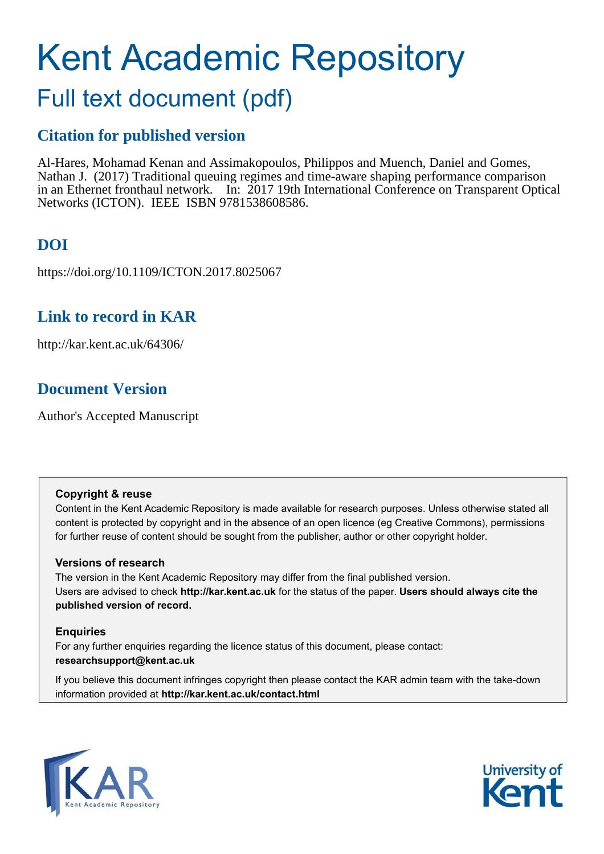# Kent Academic Repository

## Full text document (pdf)

## **Citation for published version**

Al-Hares, Mohamad Kenan and Assimakopoulos, Philippos and Muench, Daniel and Gomes, Nathan J. (2017) Traditional queuing regimes and time-aware shaping performance comparison in an Ethernet fronthaul network. In: 2017 19th International Conference on Transparent Optical Networks (ICTON). IEEE ISBN 9781538608586.

## **DOI**

https://doi.org/10.1109/ICTON.2017.8025067

## **Link to record in KAR**

http://kar.kent.ac.uk/64306/

## **Document Version**

Author's Accepted Manuscript

#### **Copyright & reuse**

Content in the Kent Academic Repository is made available for research purposes. Unless otherwise stated all content is protected by copyright and in the absence of an open licence (eg Creative Commons), permissions for further reuse of content should be sought from the publisher, author or other copyright holder.

#### **Versions of research**

The version in the Kent Academic Repository may differ from the final published version. Users are advised to check **http://kar.kent.ac.uk** for the status of the paper. **Users should always cite the published version of record.**

#### **Enquiries**

For any further enquiries regarding the licence status of this document, please contact: **researchsupport@kent.ac.uk**

If you believe this document infringes copyright then please contact the KAR admin team with the take-down information provided at **http://kar.kent.ac.uk/contact.html**



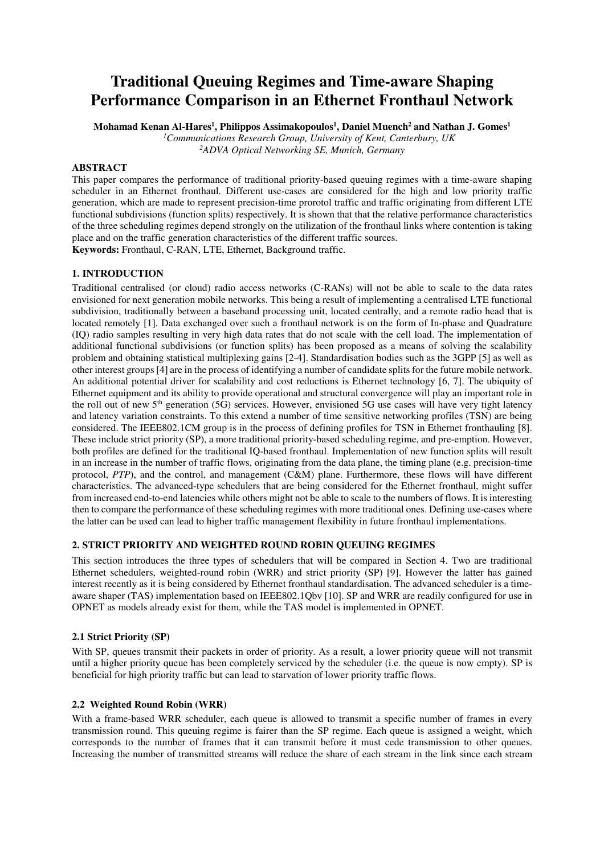### **Traditional Queuing Regimes and Time-aware Shaping Performance Comparison in an Ethernet Fronthaul Network**

**Mohamad Kenan Al-Hares<sup>1</sup> , Philippos Assimakopoulos<sup>1</sup> , Daniel Muench<sup>2</sup> and Nathan J. Gomes<sup>1</sup>**

*<sup>1</sup>Communications Research Group, University of Kent, Canterbury, UK* 

*<sup>2</sup>ADVA Optical Networking SE, Munich, Germany* 

#### **ABSTRACT**

This paper compares the performance of traditional priority-based queuing regimes with a time-aware shaping scheduler in an Ethernet fronthaul. Different use-cases are considered for the high and low priority traffic generation, which are made to represent precision-time prorotol traffic and traffic originating from different LTE functional subdivisions (function splits) respectively. It is shown that that the relative performance characteristics of the three scheduling regimes depend strongly on the utilization of the fronthaul links where contention is taking place and on the traffic generation characteristics of the different traffic sources. **Keywords:** Fronthaul, C-RAN, LTE, Ethernet, Background traffic.

#### **1. INTRODUCTION**

Traditional centralised (or cloud) radio access networks (C-RANs) will not be able to scale to the data rates envisioned for next generation mobile networks. This being a result of implementing a centralised LTE functional subdivision, traditionally between a baseband processing unit, located centrally, and a remote radio head that is located remotely [1]. Data exchanged over such a fronthaul network is on the form of In-phase and Quadrature (IQ) radio samples resulting in very high data rates that do not scale with the cell load. The implementation of additional functional subdivisions (or function splits) has been proposed as a means of solving the scalability problem and obtaining statistical multiplexing gains [2-4]. Standardisation bodies such as the 3GPP [5] as well as other interest groups [4] are in the process of identifying a number of candidate splits for the future mobile network. An additional potential driver for scalability and cost reductions is Ethernet technology [6, 7]. The ubiquity of Ethernet equipment and its ability to provide operational and structural convergence will play an important role in the roll out of new  $5<sup>th</sup>$  generation (5G) services. However, envisioned 5G use cases will have very tight latency and latency variation constraints. To this extend a number of time sensitive networking profiles (TSN) are being considered. The IEEE802.1CM group is in the process of defining profiles for TSN in Ethernet fronthauling [8]. These include strict priority (SP), a more traditional priority-based scheduling regime, and pre-emption. However, both profiles are defined for the traditional IQ-based fronthaul. Implementation of new function splits will result in an increase in the number of traffic flows, originating from the data plane, the timing plane (e.g. precision-time protocol, *PTP*), and the control, and management (C&M) plane. Furthermore, these flows will have different characteristics. The advanced-type schedulers that are being considered for the Ethernet fronthaul, might suffer from increased end-to-end latencies while others might not be able to scale to the numbers of flows. It is interesting then to compare the performance of these scheduling regimes with more traditional ones. Defining use-cases where the latter can be used can lead to higher traffic management flexibility in future fronthaul implementations.

#### **2. STRICT PRIORITY AND WEIGHTED ROUND ROBIN QUEUING REGIMES**

This section introduces the three types of schedulers that will be compared in Section 4. Two are traditional Ethernet schedulers, weighted-round robin (WRR) and strict priority (SP) [9]. However the latter has gained interest recently as it is being considered by Ethernet fronthaul standardisation. The advanced scheduler is a timeaware shaper (TAS) implementation based on IEEE802.1Qbv [10]. SP and WRR are readily configured for use in OPNET as models already exist for them, while the TAS model is implemented in OPNET.

#### **2.1 Strict Priority (SP)**

With SP, queues transmit their packets in order of priority. As a result, a lower priority queue will not transmit until a higher priority queue has been completely serviced by the scheduler (i.e. the queue is now empty). SP is beneficial for high priority traffic but can lead to starvation of lower priority traffic flows.

#### **2.2 Weighted Round Robin (WRR)**

With a frame-based WRR scheduler, each queue is allowed to transmit a specific number of frames in every transmission round. This queuing regime is fairer than the SP regime. Each queue is assigned a weight, which corresponds to the number of frames that it can transmit before it must cede transmission to other queues. Increasing the number of transmitted streams will reduce the share of each stream in the link since each stream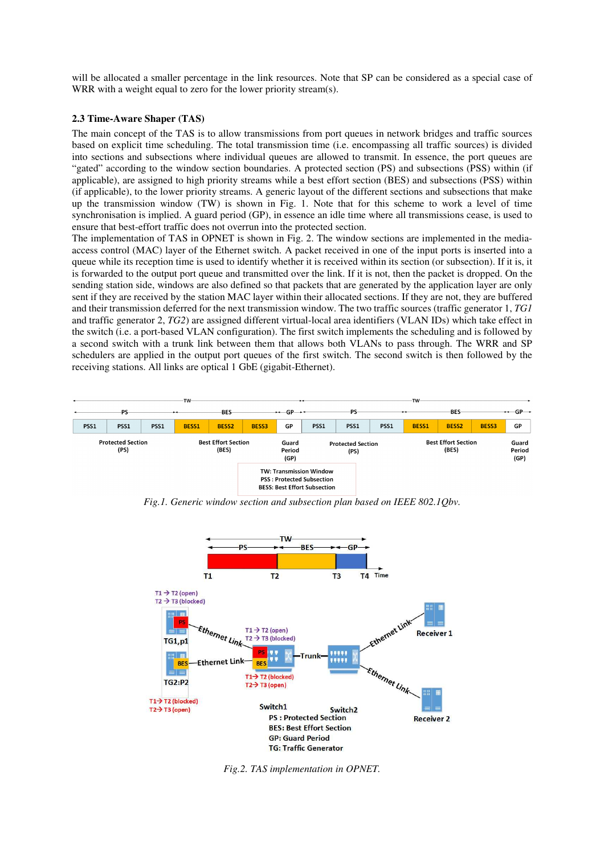will be allocated a smaller percentage in the link resources. Note that SP can be considered as a special case of WRR with a weight equal to zero for the lower priority stream(s).

#### **2.3 Time-Aware Shaper (TAS)**

The main concept of the TAS is to allow transmissions from port queues in network bridges and traffic sources based on explicit time scheduling. The total transmission time (i.e. encompassing all traffic sources) is divided into sections and subsections where individual queues are allowed to transmit. In essence, the port queues are "gated" according to the window section boundaries. A protected section (PS) and subsections (PSS) within (if applicable), are assigned to high priority streams while a best effort section (BES) and subsections (PSS) within (if applicable), to the lower priority streams. A generic layout of the different sections and subsections that make up the transmission window (TW) is shown in Fig. 1. Note that for this scheme to work a level of time synchronisation is implied. A guard period (GP), in essence an idle time where all transmissions cease, is used to ensure that best-effort traffic does not overrun into the protected section.

The implementation of TAS in OPNET is shown in Fig. 2. The window sections are implemented in the mediaaccess control (MAC) layer of the Ethernet switch. A packet received in one of the input ports is inserted into a queue while its reception time is used to identify whether it is received within its section (or subsection). If it is, it is forwarded to the output port queue and transmitted over the link. If it is not, then the packet is dropped. On the sending station side, windows are also defined so that packets that are generated by the application layer are only sent if they are received by the station MAC layer within their allocated sections. If they are not, they are buffered and their transmission deferred for the next transmission window. The two traffic sources (traffic generator 1, *TG1* and traffic generator 2, *TG2*) are assigned different virtual-local area identifiers (VLAN IDs) which take effect in the switch (i.e. a port-based VLAN configuration). The first switch implements the scheduling and is followed by a second switch with a trunk link between them that allows both VLANs to pass through. The WRR and SP schedulers are applied in the output port queues of the first switch. The second switch is then followed by the receiving stations. All links are optical 1 GbE (gigabit-Ethernet).



*Fig.1. Generic window section and subsection plan based on IEEE 802.1Qbv.* 



*Fig.2. TAS implementation in OPNET.*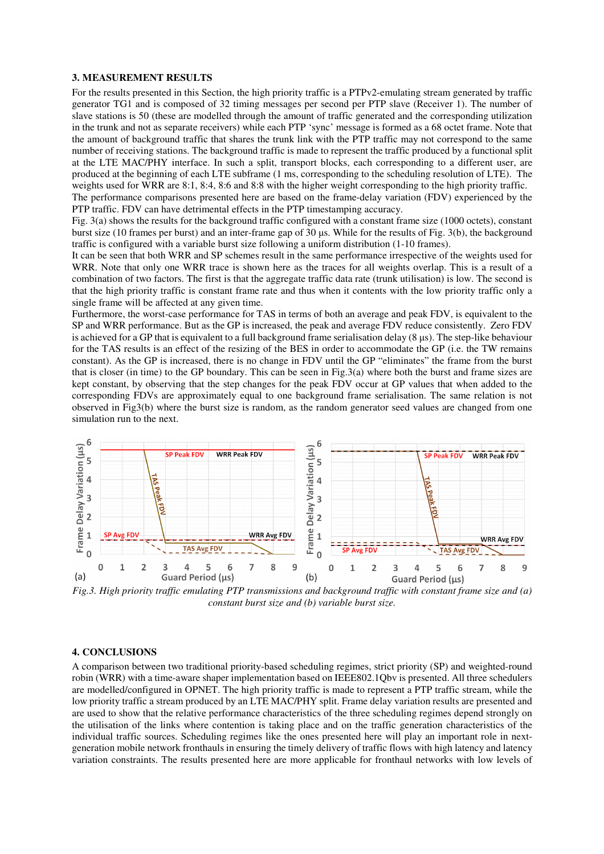#### **3. MEASUREMENT RESULTS**

For the results presented in this Section, the high priority traffic is a PTPv2-emulating stream generated by traffic generator TG1 and is composed of 32 timing messages per second per PTP slave (Receiver 1). The number of slave stations is 50 (these are modelled through the amount of traffic generated and the corresponding utilization in the trunk and not as separate receivers) while each PTP 'sync' message is formed as a 68 octet frame. Note that the amount of background traffic that shares the trunk link with the PTP traffic may not correspond to the same number of receiving stations. The background traffic is made to represent the traffic produced by a functional split at the LTE MAC/PHY interface. In such a split, transport blocks, each corresponding to a different user, are produced at the beginning of each LTE subframe (1 ms, corresponding to the scheduling resolution of LTE). The weights used for WRR are 8:1, 8:4, 8:6 and 8:8 with the higher weight corresponding to the high priority traffic. The performance comparisons presented here are based on the frame-delay variation (FDV) experienced by the

PTP traffic. FDV can have detrimental effects in the PTP timestamping accuracy.

Fig. 3(a) shows the results for the background traffic configured with a constant frame size (1000 octets), constant burst size (10 frames per burst) and an inter-frame gap of 30 µs. While for the results of Fig. 3(b), the background traffic is configured with a variable burst size following a uniform distribution (1-10 frames).

It can be seen that both WRR and SP schemes result in the same performance irrespective of the weights used for WRR. Note that only one WRR trace is shown here as the traces for all weights overlap. This is a result of a combination of two factors. The first is that the aggregate traffic data rate (trunk utilisation) is low. The second is that the high priority traffic is constant frame rate and thus when it contents with the low priority traffic only a single frame will be affected at any given time.

Furthermore, the worst-case performance for TAS in terms of both an average and peak FDV, is equivalent to the SP and WRR performance. But as the GP is increased, the peak and average FDV reduce consistently. Zero FDV is achieved for a GP that is equivalent to a full background frame serialisation delay  $(8 \,\mu s)$ . The step-like behaviour for the TAS results is an effect of the resizing of the BES in order to accommodate the GP (i.e. the TW remains constant). As the GP is increased, there is no change in FDV until the GP "eliminates" the frame from the burst that is closer (in time) to the GP boundary. This can be seen in Fig.3(a) where both the burst and frame sizes are kept constant, by observing that the step changes for the peak FDV occur at GP values that when added to the corresponding FDVs are approximately equal to one background frame serialisation. The same relation is not observed in Fig3(b) where the burst size is random, as the random generator seed values are changed from one simulation run to the next.



*Fig.3. High priority traffic emulating PTP transmissions and background traffic with constant frame size and (a) constant burst size and (b) variable burst size.* 

#### **4. CONCLUSIONS**

A comparison between two traditional priority-based scheduling regimes, strict priority (SP) and weighted-round robin (WRR) with a time-aware shaper implementation based on IEEE802.1Qbv is presented. All three schedulers are modelled/configured in OPNET. The high priority traffic is made to represent a PTP traffic stream, while the low priority traffic a stream produced by an LTE MAC/PHY split. Frame delay variation results are presented and are used to show that the relative performance characteristics of the three scheduling regimes depend strongly on the utilisation of the links where contention is taking place and on the traffic generation characteristics of the individual traffic sources. Scheduling regimes like the ones presented here will play an important role in nextgeneration mobile network fronthauls in ensuring the timely delivery of traffic flows with high latency and latency variation constraints. The results presented here are more applicable for fronthaul networks with low levels of